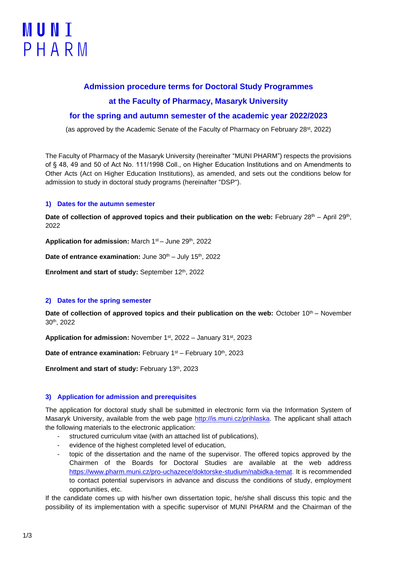# MUNI PHARM

# **Admission procedure terms for Doctoral Study Programmes at the Faculty of Pharmacy, Masaryk University**

# **for the spring and autumn semester of the academic year 2022/2023**

(as approved by the Academic Senate of the Faculty of Pharmacy on February  $28<sup>st</sup>$ , 2022)

The Faculty of Pharmacy of the Masaryk University (hereinafter "MUNI PHARM") respects the provisions of § 48, 49 and 50 of Act No. 111/1998 Coll., on Higher Education Institutions and on Amendments to Other Acts (Act on Higher Education Institutions), as amended, and sets out the conditions below for admission to study in doctoral study programs (hereinafter "DSP").

# **1) Dates for the autumn semester**

Date of collection of approved topics and their publication on the web: February 28<sup>th</sup> – April 29<sup>th</sup>, 2022

Application for admission: March 1<sup>st</sup> – June 29<sup>th</sup>, 2022

Date of entrance examination: June 30<sup>th</sup> – July 15<sup>th</sup>, 2022

**Enrolment and start of study:** September 12th, 2022

# **2) Dates for the spring semester**

**Date of collection of approved topics and their publication on the web:** October 10<sup>th</sup> – November 30th , 2022

Application for admission: November 1<sup>st</sup>, 2022 – January 31<sup>st</sup>, 2023

Date of entrance examination: February 1<sup>st</sup> – February 10<sup>th</sup>, 2023

Enrolment and start of study: February 13<sup>th</sup>, 2023

#### **3) Application for admission and prerequisites**

The application for doctoral study shall be submitted in electronic form via the Information System of Masaryk University, available from the web page [http://is.muni.cz/prihlaska.](http://is.muni.cz/prihlaska) The applicant shall attach the following materials to the electronic application:

- structured curriculum vitae (with an attached list of publications),
- evidence of the highest completed level of education,
- topic of the dissertation and the name of the supervisor. The offered topics approved by the Chairmen of the Boards for Doctoral Studies are available at the web address [https://www.pharm.muni.cz/pro-uchazece/doktorske-studium/nabidka-temat.](https://www.pharm.muni.cz/pro-uchazece/doktorske-studium/nabidka-temat) It is recommended to contact potential supervisors in advance and discuss the conditions of study, employment opportunities, etc.

If the candidate comes up with his/her own dissertation topic, he/she shall discuss this topic and the possibility of its implementation with a specific supervisor of MUNI PHARM and the Chairman of the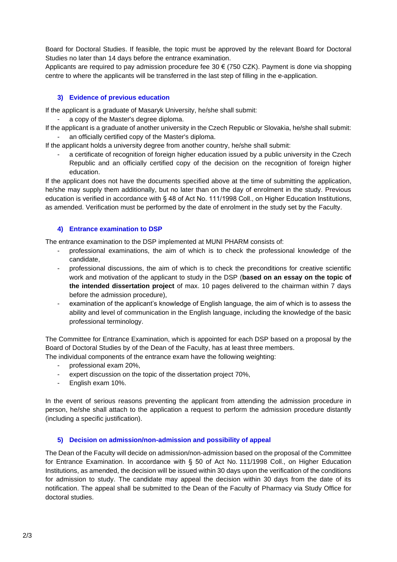Board for Doctoral Studies. If feasible, the topic must be approved by the relevant Board for Doctoral Studies no later than 14 days before the entrance examination.

Applicants are required to pay admission procedure fee 30  $\epsilon$  (750 CZK). Payment is done via shopping centre to where the applicants will be transferred in the last step of filling in the e-application.

### **3) Evidence of previous education**

If the applicant is a graduate of Masaryk University, he/she shall submit:

a copy of the Master's degree diploma.

If the applicant is a graduate of another university in the Czech Republic or Slovakia, he/she shall submit: an officially certified copy of the Master's diploma.

If the applicant holds a university degree from another country, he/she shall submit:

a certificate of recognition of foreign higher education issued by a public university in the Czech Republic and an officially certified copy of the decision on the recognition of foreign higher education.

If the applicant does not have the documents specified above at the time of submitting the application, he/she may supply them additionally, but no later than on the day of enrolment in the study. Previous education is verified in accordance with § 48 of Act No. 111/1998 Coll., on Higher Education Institutions, as amended. Verification must be performed by the date of enrolment in the study set by the Faculty.

#### **4) Entrance examination to DSP**

The entrance examination to the DSP implemented at MUNI PHARM consists of:

- professional examinations, the aim of which is to check the professional knowledge of the candidate,
- professional discussions, the aim of which is to check the preconditions for creative scientific work and motivation of the applicant to study in the DSP (**based on an essay on the topic of the intended dissertation project** of max. 10 pages delivered to the chairman within 7 days before the admission procedure),
- examination of the applicant's knowledge of English language, the aim of which is to assess the ability and level of communication in the English language, including the knowledge of the basic professional terminology.

The Committee for Entrance Examination, which is appointed for each DSP based on a proposal by the Board of Doctoral Studies by of the Dean of the Faculty, has at least three members. The individual components of the entrance exam have the following weighting:

- professional exam 20%,
- expert discussion on the topic of the dissertation project 70%,
- English exam 10%.

In the event of serious reasons preventing the applicant from attending the admission procedure in person, he/she shall attach to the application a request to perform the admission procedure distantly (including a specific justification).

#### **5) Decision on admission/non-admission and possibility of appeal**

The Dean of the Faculty will decide on admission/non-admission based on the proposal of the Committee for Entrance Examination. In accordance with § 50 of Act No. 111/1998 Coll., on Higher Education Institutions, as amended, the decision will be issued within 30 days upon the verification of the conditions for admission to study. The candidate may appeal the decision within 30 days from the date of its notification. The appeal shall be submitted to the Dean of the Faculty of Pharmacy via Study Office for doctoral studies.